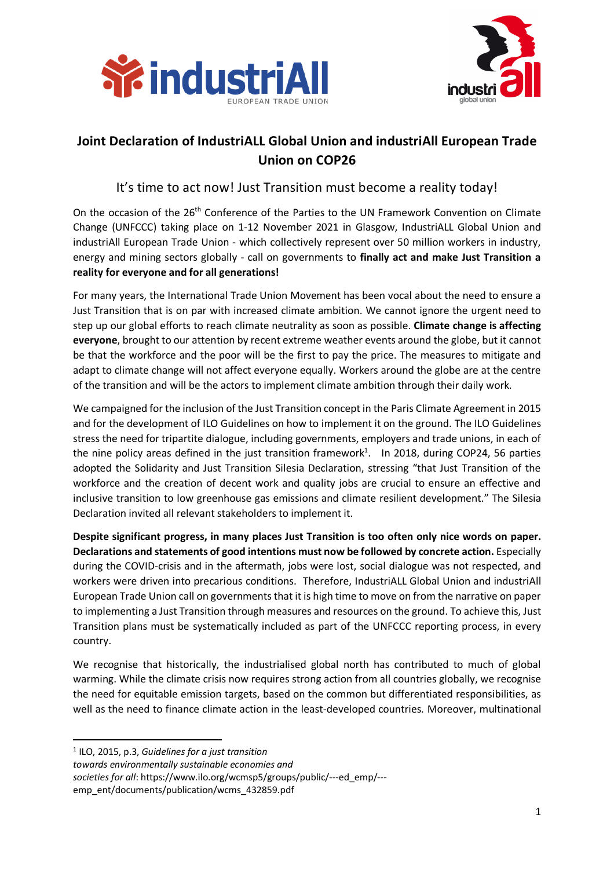



## **Joint Declaration of IndustriALL Global Union and industriAll European Trade Union on COP26**

## It's time to act now! Just Transition must become a reality today!

On the occasion of the 26<sup>th</sup> Conference of the Parties to the UN Framework Convention on Climate Change (UNFCCC) taking place on 1-12 November 2021 in Glasgow, IndustriALL Global Union and industriAll European Trade Union - which collectively represent over 50 million workers in industry, energy and mining sectors globally - call on governments to **finally act and make Just Transition a reality for everyone and for all generations!**

For many years, the International Trade Union Movement has been vocal about the need to ensure a Just Transition that is on par with increased climate ambition. We cannot ignore the urgent need to step up our global efforts to reach climate neutrality as soon as possible. **Climate change is affecting everyone**, brought to our attention by recent extreme weather events around the globe, but it cannot be that the workforce and the poor will be the first to pay the price. The measures to mitigate and adapt to climate change will not affect everyone equally. Workers around the globe are at the centre of the transition and will be the actors to implement climate ambition through their daily work.

We campaigned for the inclusion of the Just Transition concept in the Paris Climate Agreement in 2015 and for the development of ILO Guidelines on how to implement it on the ground. The ILO Guidelines stress the need for tripartite dialogue, including governments, employers and trade unions, in each of the nine policy areas defined in the just transition framework<sup>1</sup>. In 2018, during COP24, 56 parties adopted the Solidarity and Just Transition Silesia Declaration, stressing "that Just Transition of the workforce and the creation of decent work and quality jobs are crucial to ensure an effective and inclusive transition to low greenhouse gas emissions and climate resilient development." The Silesia Declaration invited all relevant stakeholders to implement it.

**Despite significant progress, in many places Just Transition is too often only nice words on paper. Declarations and statements of good intentions must now be followed by concrete action.** Especially during the COVID-crisis and in the aftermath, jobs were lost, social dialogue was not respected, and workers were driven into precarious conditions. Therefore, IndustriALL Global Union and industriAll European Trade Union call on governments that it is high time to move on from the narrative on paper to implementing a Just Transition through measures and resources on the ground. To achieve this, Just Transition plans must be systematically included as part of the UNFCCC reporting process, in every country.

We recognise that historically, the industrialised global north has contributed to much of global warming. While the climate crisis now requires strong action from all countries globally, we recognise the need for equitable emission targets, based on the common but differentiated responsibilities, as well as the need to finance climate action in the least-developed countries*.* Moreover, multinational

emp\_ent/documents/publication/wcms\_432859.pdf

 <sup>1</sup> ILO, 2015, p.3, *Guidelines for a just transition*

*towards environmentally sustainable economies and*

*societies for all*: https://www.ilo.org/wcmsp5/groups/public/---ed\_emp/---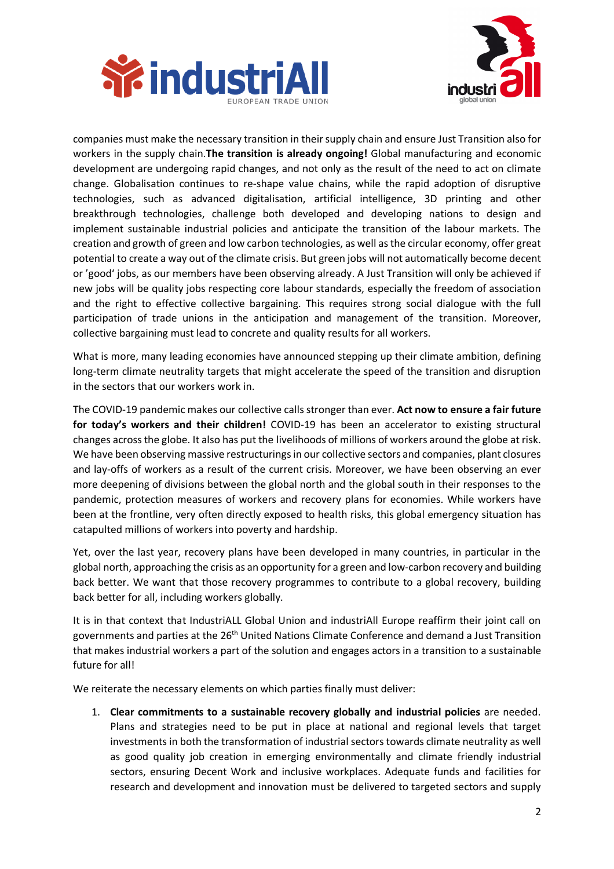



companies must make the necessary transition in their supply chain and ensure Just Transition also for workers in the supply chain.**The transition is already ongoing!** Global manufacturing and economic development are undergoing rapid changes, and not only as the result of the need to act on climate change. Globalisation continues to re-shape value chains, while the rapid adoption of disruptive technologies, such as advanced digitalisation, artificial intelligence, 3D printing and other breakthrough technologies, challenge both developed and developing nations to design and implement sustainable industrial policies and anticipate the transition of the labour markets. The creation and growth of green and low carbon technologies, as well as the circular economy, offer great potential to create a way out of the climate crisis. But green jobs will not automatically become decent or 'good' jobs, as our members have been observing already. A Just Transition will only be achieved if new jobs will be quality jobs respecting core labour standards, especially the freedom of association and the right to effective collective bargaining. This requires strong social dialogue with the full participation of trade unions in the anticipation and management of the transition. Moreover, collective bargaining must lead to concrete and quality results for all workers.

What is more, many leading economies have announced stepping up their climate ambition, defining long-term climate neutrality targets that might accelerate the speed of the transition and disruption in the sectors that our workers work in.

The COVID-19 pandemic makes our collective calls stronger than ever. **Act now to ensure a fair future for today's workers and their children!** COVID-19 has been an accelerator to existing structural changes across the globe. It also has put the livelihoods of millions of workers around the globe at risk. We have been observing massive restructurings in our collective sectors and companies, plant closures and lay-offs of workers as a result of the current crisis. Moreover, we have been observing an ever more deepening of divisions between the global north and the global south in their responses to the pandemic, protection measures of workers and recovery plans for economies. While workers have been at the frontline, very often directly exposed to health risks, this global emergency situation has catapulted millions of workers into poverty and hardship.

Yet, over the last year, recovery plans have been developed in many countries, in particular in the global north, approaching the crisis as an opportunity for a green and low-carbon recovery and building back better. We want that those recovery programmes to contribute to a global recovery, building back better for all, including workers globally.

It is in that context that IndustriALL Global Union and industriAll Europe reaffirm their joint call on governments and parties at the 26<sup>th</sup> United Nations Climate Conference and demand a Just Transition that makes industrial workers a part of the solution and engages actors in a transition to a sustainable future for all!

We reiterate the necessary elements on which parties finally must deliver:

1. **Clear commitments to a sustainable recovery globally and industrial policies** are needed. Plans and strategies need to be put in place at national and regional levels that target investments in both the transformation of industrial sectors towards climate neutrality as well as good quality job creation in emerging environmentally and climate friendly industrial sectors, ensuring Decent Work and inclusive workplaces. Adequate funds and facilities for research and development and innovation must be delivered to targeted sectors and supply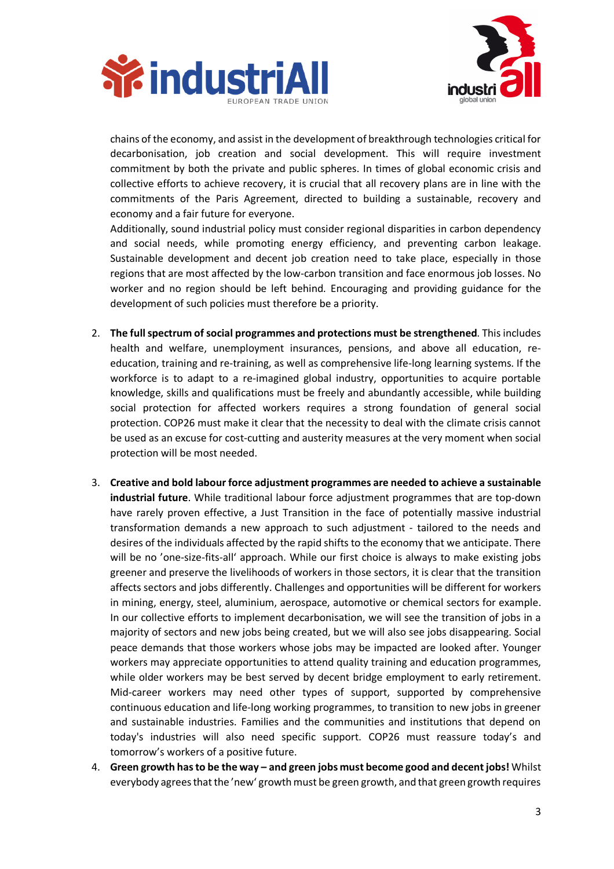



chains of the economy, and assist in the development of breakthrough technologies critical for decarbonisation, job creation and social development. This will require investment commitment by both the private and public spheres. In times of global economic crisis and collective efforts to achieve recovery, it is crucial that all recovery plans are in line with the commitments of the Paris Agreement, directed to building a sustainable, recovery and economy and a fair future for everyone.

Additionally, sound industrial policy must consider regional disparities in carbon dependency and social needs, while promoting energy efficiency, and preventing carbon leakage. Sustainable development and decent job creation need to take place, especially in those regions that are most affected by the low-carbon transition and face enormous job losses. No worker and no region should be left behind. Encouraging and providing guidance for the development of such policies must therefore be a priority.

- 2. **The full spectrum of social programmes and protections must be strengthened**. This includes health and welfare, unemployment insurances, pensions, and above all education, reeducation, training and re-training, as well as comprehensive life-long learning systems. If the workforce is to adapt to a re-imagined global industry, opportunities to acquire portable knowledge, skills and qualifications must be freely and abundantly accessible, while building social protection for affected workers requires a strong foundation of general social protection. COP26 must make it clear that the necessity to deal with the climate crisis cannot be used as an excuse for cost-cutting and austerity measures at the very moment when social protection will be most needed.
- 3. **Creative and bold labour force adjustment programmes are needed to achieve a sustainable industrial future**. While traditional labour force adjustment programmes that are top-down have rarely proven effective, a Just Transition in the face of potentially massive industrial transformation demands a new approach to such adjustment - tailored to the needs and desires of the individuals affected by the rapid shifts to the economy that we anticipate. There will be no 'one-size-fits-all' approach. While our first choice is always to make existing jobs greener and preserve the livelihoods of workers in those sectors, it is clear that the transition affects sectors and jobs differently. Challenges and opportunities will be different for workers in mining, energy, steel, aluminium, aerospace, automotive or chemical sectors for example. In our collective efforts to implement decarbonisation, we will see the transition of jobs in a majority of sectors and new jobs being created, but we will also see jobs disappearing. Social peace demands that those workers whose jobs may be impacted are looked after. Younger workers may appreciate opportunities to attend quality training and education programmes, while older workers may be best served by decent bridge employment to early retirement. Mid-career workers may need other types of support, supported by comprehensive continuous education and life-long working programmes, to transition to new jobs in greener and sustainable industries. Families and the communities and institutions that depend on today's industries will also need specific support. COP26 must reassure today's and tomorrow's workers of a positive future.
- 4. **Green growth has to be the way – and green jobs must become good and decent jobs!** Whilst everybody agrees that the 'new' growth must be green growth, and that green growth requires